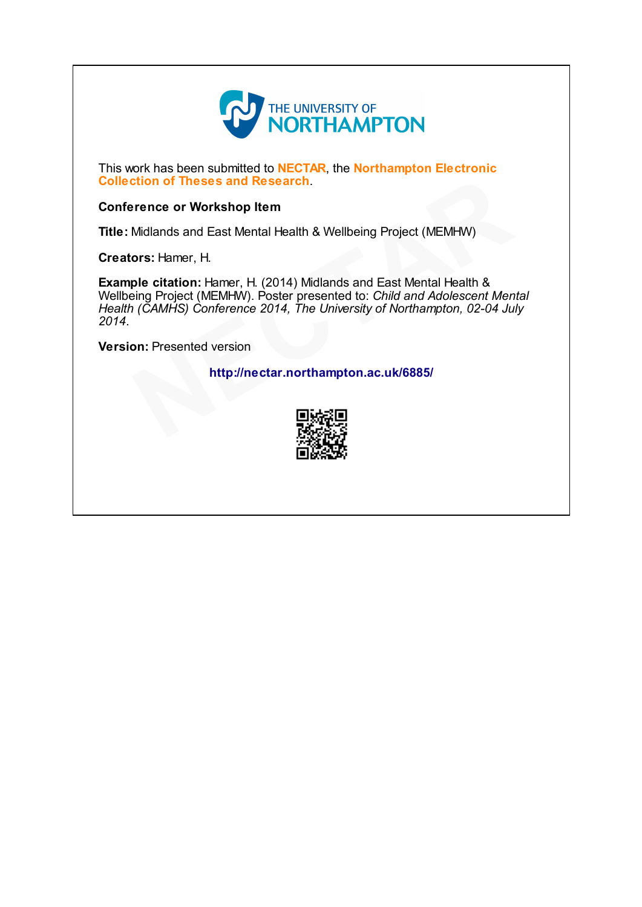

This work has been submitted to **NECTAR**, the **Northampton Electronic** Collection of Theses and Research.

#### Conference or Workshop Item

Title: Midlands and East Mental Health & Wellbeing Project (MEMHW)

Creators: Hamer, H.

Example citation: Hamer, H. (2014) Midlands and East Mental Health & Wellbeing Project (MEMHW). Poster presented to: Child and Adolescent Mental Health (CAMHS) Conference 2014, The University of Northampton, 02-04 July 2014. tion of Theses and Research.<br>
Frence or Workshop Item<br>
Midlands and East Mental Health & Wellbeing Project (MEMHW)<br>
ors: Hamer, H.<br>
ple citation: Hamer, H. (2014) Midlands and East Mental Health &<br>
Fing Project (MEMHW). P

Version: Presented version

#### http://nectar.northampton.ac.uk/6885/